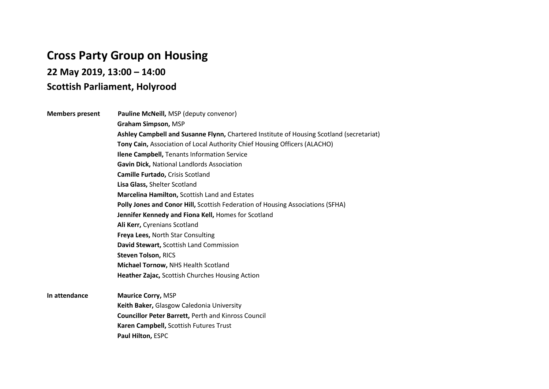## **Cross Party Group on Housing**

**22 May 2019, 13:00 – 14:00** 

## **Scottish Parliament, Holyrood**

**Members present Pauline McNeill,** MSP (deputy convenor) **Graham Simpson,** MSP **Ashley Campbell and Susanne Flynn,** Chartered Institute of Housing Scotland (secretariat) **Tony Cain,** Association of Local Authority Chief Housing Officers (ALACHO) **Ilene Campbell,** Tenants Information Service **Gavin Dick,** National Landlords Association **Camille Furtado,** Crisis Scotland **Lisa Glass,** Shelter Scotland **Marcelina Hamilton,** Scottish Land and Estates **Polly Jones and Conor Hill,** Scottish Federation of Housing Associations (SFHA) **Jennifer Kennedy and Fiona Kell,** Homes for Scotland **Ali Kerr,** Cyrenians Scotland **Freya Lees,** North Star Consulting **David Stewart,** Scottish Land Commission **Steven Tolson,** RICS **Michael Tornow,** NHS Health Scotland **Heather Zajac,** Scottish Churches Housing Action

**In attendance Maurice Corry,** MSP **Keith Baker,** Glasgow Caledonia University **Councillor Peter Barrett,** Perth and Kinross Council **Karen Campbell,** Scottish Futures Trust **Paul Hilton,** ESPC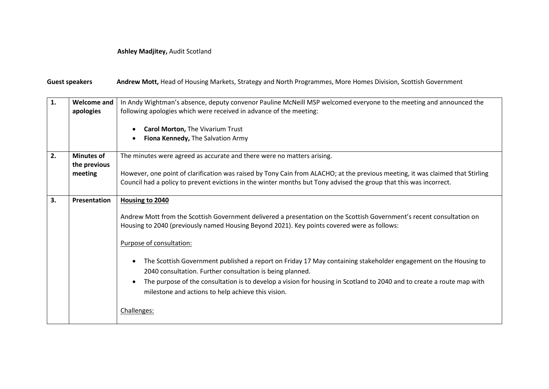## **Ashley Madjitey,** Audit Scotland

Guest speakers **Andrew Mott,** Head of Housing Markets, Strategy and North Programmes, More Homes Division, Scottish Government

| 1. | <b>Welcome and</b><br>apologies              | In Andy Wightman's absence, deputy convenor Pauline McNeill MSP welcomed everyone to the meeting and announced the<br>following apologies which were received in advance of the meeting:<br>Carol Morton, The Vivarium Trust<br>Fiona Kennedy, The Salvation Army                                                                                                                                                                                                                                                                                                                                                                                 |
|----|----------------------------------------------|---------------------------------------------------------------------------------------------------------------------------------------------------------------------------------------------------------------------------------------------------------------------------------------------------------------------------------------------------------------------------------------------------------------------------------------------------------------------------------------------------------------------------------------------------------------------------------------------------------------------------------------------------|
| 2. | <b>Minutes of</b><br>the previous<br>meeting | The minutes were agreed as accurate and there were no matters arising.<br>However, one point of clarification was raised by Tony Cain from ALACHO; at the previous meeting, it was claimed that Stirling<br>Council had a policy to prevent evictions in the winter months but Tony advised the group that this was incorrect.                                                                                                                                                                                                                                                                                                                    |
| 3. | <b>Presentation</b>                          | Housing to 2040<br>Andrew Mott from the Scottish Government delivered a presentation on the Scottish Government's recent consultation on<br>Housing to 2040 (previously named Housing Beyond 2021). Key points covered were as follows:<br>Purpose of consultation:<br>The Scottish Government published a report on Friday 17 May containing stakeholder engagement on the Housing to<br>2040 consultation. Further consultation is being planned.<br>The purpose of the consultation is to develop a vision for housing in Scotland to 2040 and to create a route map with<br>milestone and actions to help achieve this vision.<br>Challenges: |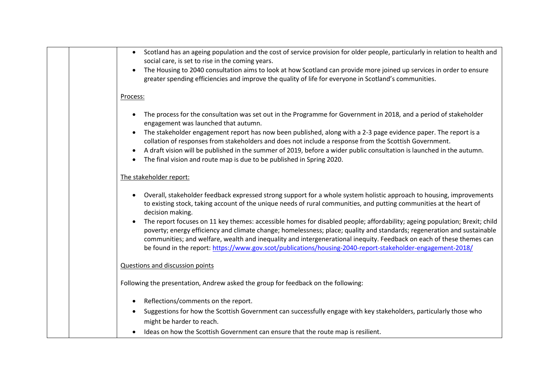| Scotland has an ageing population and the cost of service provision for older people, particularly in relation to health and<br>$\bullet$<br>social care, is set to rise in the coming years.                                                                                                                                                                                                                                                                                               |
|---------------------------------------------------------------------------------------------------------------------------------------------------------------------------------------------------------------------------------------------------------------------------------------------------------------------------------------------------------------------------------------------------------------------------------------------------------------------------------------------|
| The Housing to 2040 consultation aims to look at how Scotland can provide more joined up services in order to ensure<br>greater spending efficiencies and improve the quality of life for everyone in Scotland's communities.                                                                                                                                                                                                                                                               |
| Process:                                                                                                                                                                                                                                                                                                                                                                                                                                                                                    |
| The process for the consultation was set out in the Programme for Government in 2018, and a period of stakeholder<br>$\bullet$<br>engagement was launched that autumn.                                                                                                                                                                                                                                                                                                                      |
| The stakeholder engagement report has now been published, along with a 2-3 page evidence paper. The report is a<br>collation of responses from stakeholders and does not include a response from the Scottish Government.                                                                                                                                                                                                                                                                   |
| A draft vision will be published in the summer of 2019, before a wider public consultation is launched in the autumn.<br>The final vision and route map is due to be published in Spring 2020.                                                                                                                                                                                                                                                                                              |
| The stakeholder report:                                                                                                                                                                                                                                                                                                                                                                                                                                                                     |
| Overall, stakeholder feedback expressed strong support for a whole system holistic approach to housing, improvements<br>to existing stock, taking account of the unique needs of rural communities, and putting communities at the heart of<br>decision making.                                                                                                                                                                                                                             |
| The report focuses on 11 key themes: accessible homes for disabled people; affordability; ageing population; Brexit; child<br>poverty; energy efficiency and climate change; homelessness; place; quality and standards; regeneration and sustainable<br>communities; and welfare, wealth and inequality and intergenerational inequity. Feedback on each of these themes can<br>be found in the report: https://www.gov.scot/publications/housing-2040-report-stakeholder-engagement-2018/ |
| Questions and discussion points                                                                                                                                                                                                                                                                                                                                                                                                                                                             |
| Following the presentation, Andrew asked the group for feedback on the following:                                                                                                                                                                                                                                                                                                                                                                                                           |
| Reflections/comments on the report.<br>$\bullet$                                                                                                                                                                                                                                                                                                                                                                                                                                            |
| Suggestions for how the Scottish Government can successfully engage with key stakeholders, particularly those who<br>might be harder to reach.                                                                                                                                                                                                                                                                                                                                              |
| Ideas on how the Scottish Government can ensure that the route map is resilient.                                                                                                                                                                                                                                                                                                                                                                                                            |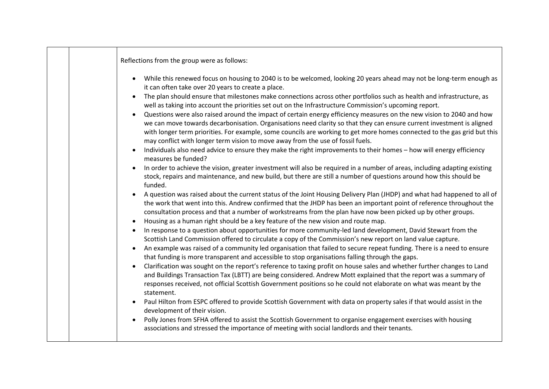| Reflections from the group were as follows:                                                                                                                                                                                                                                                                                                                                                                                                                                                                                                                            |
|------------------------------------------------------------------------------------------------------------------------------------------------------------------------------------------------------------------------------------------------------------------------------------------------------------------------------------------------------------------------------------------------------------------------------------------------------------------------------------------------------------------------------------------------------------------------|
| While this renewed focus on housing to 2040 is to be welcomed, looking 20 years ahead may not be long-term enough as<br>it can often take over 20 years to create a place.<br>The plan should ensure that milestones make connections across other portfolios such as health and infrastructure, as                                                                                                                                                                                                                                                                    |
| well as taking into account the priorities set out on the Infrastructure Commission's upcoming report.<br>Questions were also raised around the impact of certain energy efficiency measures on the new vision to 2040 and how<br>we can move towards decarbonisation. Organisations need clarity so that they can ensure current investment is aligned<br>with longer term priorities. For example, some councils are working to get more homes connected to the gas grid but this<br>may conflict with longer term vision to move away from the use of fossil fuels. |
| Individuals also need advice to ensure they make the right improvements to their homes - how will energy efficiency<br>measures be funded?                                                                                                                                                                                                                                                                                                                                                                                                                             |
| In order to achieve the vision, greater investment will also be required in a number of areas, including adapting existing<br>stock, repairs and maintenance, and new build, but there are still a number of questions around how this should be<br>funded.                                                                                                                                                                                                                                                                                                            |
| A question was raised about the current status of the Joint Housing Delivery Plan (JHDP) and what had happened to all of<br>the work that went into this. Andrew confirmed that the JHDP has been an important point of reference throughout the<br>consultation process and that a number of workstreams from the plan have now been picked up by other groups.                                                                                                                                                                                                       |
| Housing as a human right should be a key feature of the new vision and route map.<br>In response to a question about opportunities for more community-led land development, David Stewart from the                                                                                                                                                                                                                                                                                                                                                                     |
| Scottish Land Commission offered to circulate a copy of the Commission's new report on land value capture.<br>An example was raised of a community led organisation that failed to secure repeat funding. There is a need to ensure<br>that funding is more transparent and accessible to stop organisations falling through the gaps.                                                                                                                                                                                                                                 |
| Clarification was sought on the report's reference to taxing profit on house sales and whether further changes to Land<br>and Buildings Transaction Tax (LBTT) are being considered. Andrew Mott explained that the report was a summary of<br>responses received, not official Scottish Government positions so he could not elaborate on what was meant by the<br>statement.                                                                                                                                                                                         |
| Paul Hilton from ESPC offered to provide Scottish Government with data on property sales if that would assist in the<br>development of their vision.                                                                                                                                                                                                                                                                                                                                                                                                                   |
| Polly Jones from SFHA offered to assist the Scottish Government to organise engagement exercises with housing<br>associations and stressed the importance of meeting with social landlords and their tenants.                                                                                                                                                                                                                                                                                                                                                          |